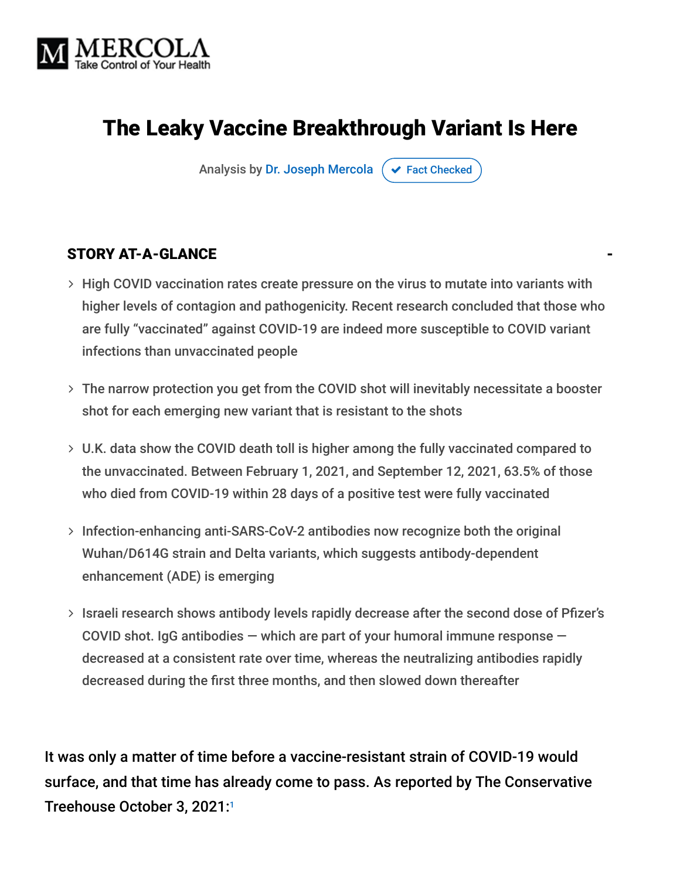

## The Leaky Vaccine Breakthrough Variant Is Here

Analysis by [Dr. Joseph Mercola](https://www.mercola.com/forms/background.htm)  $\sigma$  [Fact Checked](javascript:void(0))

#### STORY AT-A-GLANCE

- > High COVID vaccination rates create pressure on the virus to mutate into variants with higher levels of contagion and pathogenicity. Recent research concluded that those who are fully "vaccinated" against COVID-19 are indeed more susceptible to COVID variant infections than unvaccinated people
- The narrow protection you get from the COVID shot will inevitably necessitate a booster shot for each emerging new variant that is resistant to the shots
- U.K. data show the COVID death toll is higher among the fully vaccinated compared to the unvaccinated. Between February 1, 2021, and September 12, 2021, 63.5% of those who died from COVID-19 within 28 days of a positive test were fully vaccinated
- > Infection-enhancing anti-SARS-CoV-2 antibodies now recognize both the original Wuhan/D614G strain and Delta variants, which suggests antibody-dependent enhancement (ADE) is emerging
- > Israeli research shows antibody levels rapidly decrease after the second dose of Pfizer's COVID shot. IgG antibodies  $-$  which are part of your humoral immune response  $$ decreased at a consistent rate over time, whereas the neutralizing antibodies rapidly decreased during the first three months, and then slowed down thereafter

It was only a matter of time before a vaccine-resistant strain of COVID-19 would surface, and that time has already come to pass. As reported by The Conservative Treehouse October 3, 2021: 1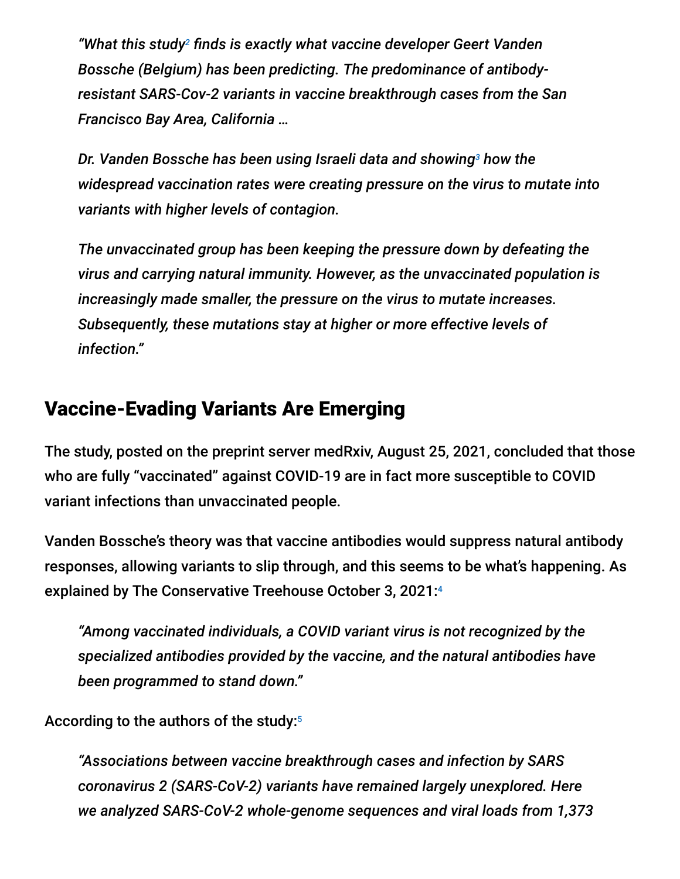"What this study<sup>2</sup> finds is exactly what vaccine developer Geert Vanden *Bossche (Belgium) has been predicting. The predominance of antibodyresistant SARS-Cov-2 variants in vaccine breakthrough cases from the San Francisco Bay Area, California …*

Dr. Vanden Bossche has been using Israeli data and showing<sup>3</sup> how the *widespread vaccination rates were creating pressure on the virus to mutate into variants with higher levels of contagion.*

*The unvaccinated group has been keeping the pressure down by defeating the virus and carrying natural immunity. However, as the unvaccinated population is increasingly made smaller, the pressure on the virus to mutate increases. Subsequently, these mutations stay at higher or more effective levels of infection."*

### Vaccine-Evading Variants Are Emerging

The study, posted on the preprint server medRxiv, August 25, 2021, concluded that those who are fully "vaccinated" against COVID-19 are in fact more susceptible to COVID variant infections than unvaccinated people.

Vanden Bossche's theory was that vaccine antibodies would suppress natural antibody responses, allowing variants to slip through, and this seems to be what's happening. As explained by The Conservative Treehouse October 3, 2021: 4

*"Among vaccinated individuals, a COVID variant virus is not recognized by the specialized antibodies provided by the vaccine, and the natural antibodies have been programmed to stand down."*

According to the authors of the study: 5

*"Associations between vaccine breakthrough cases and infection by SARS coronavirus 2 (SARS-CoV-2) variants have remained largely unexplored. Here we analyzed SARS-CoV-2 whole-genome sequences and viral loads from 1,373*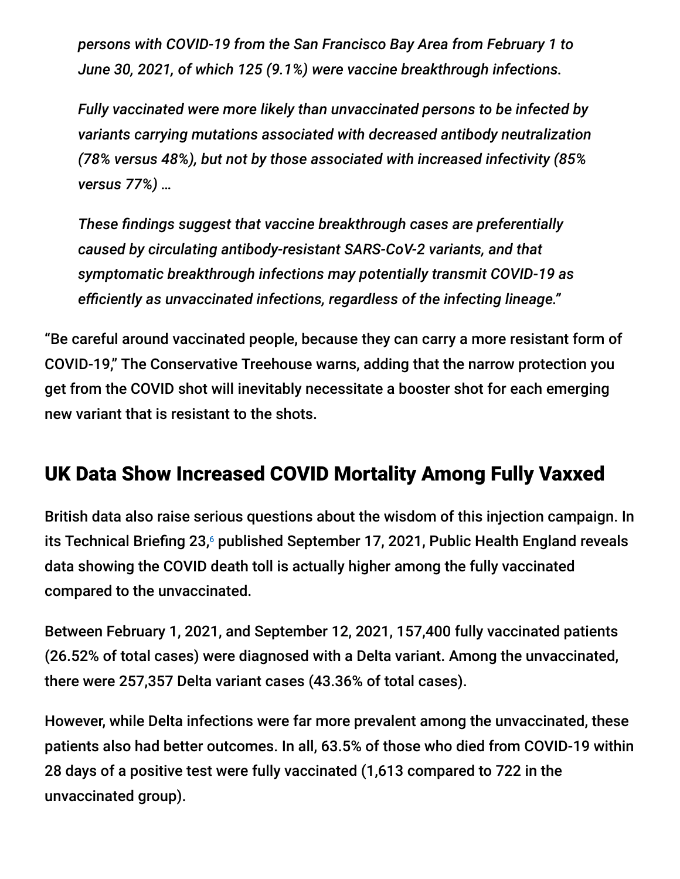*persons with COVID-19 from the San Francisco Bay Area from February 1 to June 30, 2021, of which 125 (9.1%) were vaccine breakthrough infections.*

*Fully vaccinated were more likely than unvaccinated persons to be infected by variants carrying mutations associated with decreased antibody neutralization (78% versus 48%), but not by those associated with increased infectivity (85% versus 77%) …*

*These findings suggest that vaccine breakthrough cases are preferentially caused by circulating antibody-resistant SARS-CoV-2 variants, and that symptomatic breakthrough infections may potentially transmit COVID-19 as efficiently as unvaccinated infections, regardless of the infecting lineage."*

"Be careful around vaccinated people, because they can carry a more resistant form of COVID-19," The Conservative Treehouse warns, adding that the narrow protection you get from the COVID shot will inevitably necessitate a booster shot for each emerging new variant that is resistant to the shots.

## UK Data Show Increased COVID Mortality Among Fully Vaxxed

British data also raise serious questions about the wisdom of this injection campaign. In its Technical Briefing 23,6 published September 17, 2021, Public Health England reveals data showing the COVID death toll is actually higher among the fully vaccinated compared to the unvaccinated.

Between February 1, 2021, and September 12, 2021, 157,400 fully vaccinated patients (26.52% of total cases) were diagnosed with a Delta variant. Among the unvaccinated, there were 257,357 Delta variant cases (43.36% of total cases).

However, while Delta infections were far more prevalent among the unvaccinated, these patients also had better outcomes. In all, 63.5% of those who died from COVID-19 within 28 days of a positive test were fully vaccinated (1,613 compared to 722 in the unvaccinated group).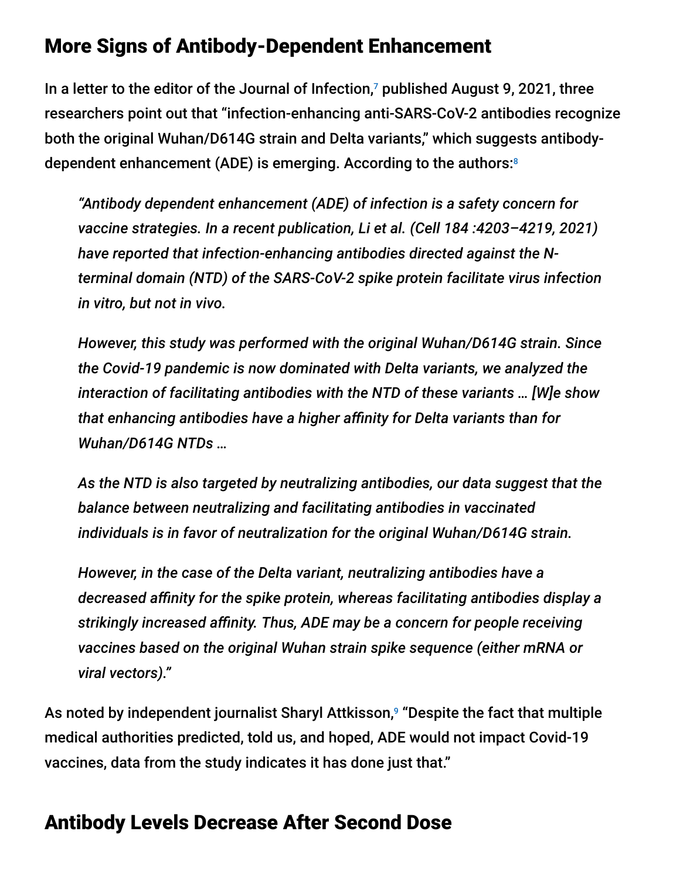### More Signs of Antibody-Dependent Enhancement

In a letter to the editor of the Journal of Infection, $\overline{\ }$  published August 9, 2021, three researchers point out that "infection-enhancing anti-SARS-CoV-2 antibodies recognize both the original Wuhan/D614G strain and Delta variants," which suggests antibodydependent enhancement (ADE) is emerging. According to the authors: 8

*"Antibody dependent enhancement (ADE) of infection is a safety concern for vaccine strategies. In a recent publication, Li et al. (Cell 184 :4203–4219, 2021) have reported that infection-enhancing antibodies directed against the Nterminal domain (NTD) of the SARS-CoV-2 spike protein facilitate virus infection in vitro, but not in vivo.*

*However, this study was performed with the original Wuhan/D614G strain. Since the Covid-19 pandemic is now dominated with Delta variants, we analyzed the interaction of facilitating antibodies with the NTD of these variants … [W]e show that enhancing antibodies have a higher affinity for Delta variants than for Wuhan/D614G NTDs …*

*As the NTD is also targeted by neutralizing antibodies, our data suggest that the balance between neutralizing and facilitating antibodies in vaccinated individuals is in favor of neutralization for the original Wuhan/D614G strain.*

*However, in the case of the Delta variant, neutralizing antibodies have a decreased affinity for the spike protein, whereas facilitating antibodies display a strikingly increased affinity. Thus, ADE may be a concern for people receiving vaccines based on the original Wuhan strain spike sequence (either mRNA or viral vectors)."*

As noted by independent journalist Sharyl Attkisson,<sup>9</sup> "Despite the fact that multiple medical authorities predicted, told us, and hoped, ADE would not impact Covid-19 vaccines, data from the study indicates it has done just that."

#### Antibody Levels Decrease After Second Dose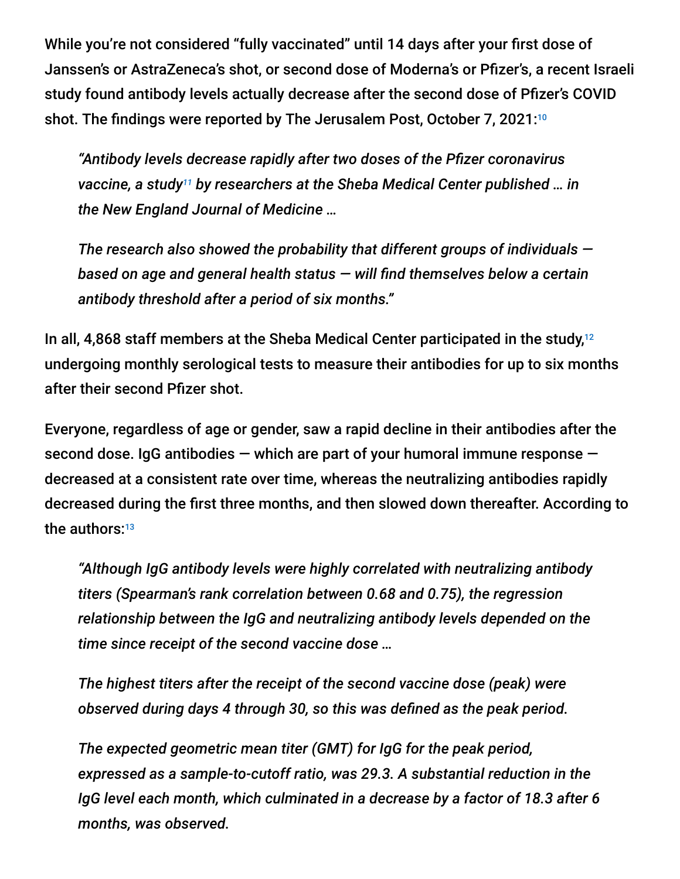While you're not considered "fully vaccinated" until 14 days after your first dose of Janssen's or AstraZeneca's shot, or second dose of Moderna's or Pfizer's, a recent Israeli study found antibody levels actually decrease after the second dose of Pfizer's COVID shot. The findings were reported by The Jerusalem Post, October 7, 2021:<sup>10</sup>

*"Antibody levels decrease rapidly after two doses of the Pfizer coronavirus* vaccine, a study<sup>11</sup> by researchers at the Sheba Medical Center published ... in *the New England Journal of Medicine …*

*The research also showed the probability that different groups of individuals based on age and general health status — will find themselves below a certain antibody threshold after a period of six months."*

In all, 4,868 staff members at the Sheba Medical Center participated in the study, 12 undergoing monthly serological tests to measure their antibodies for up to six months after their second Pfizer shot.

Everyone, regardless of age or gender, saw a rapid decline in their antibodies after the second dose. IgG antibodies — which are part of your humoral immune response decreased at a consistent rate over time, whereas the neutralizing antibodies rapidly decreased during the first three months, and then slowed down thereafter. According to the authors:13

*"Although IgG antibody levels were highly correlated with neutralizing antibody titers (Spearman's rank correlation between 0.68 and 0.75), the regression relationship between the IgG and neutralizing antibody levels depended on the time since receipt of the second vaccine dose …*

*The highest titers after the receipt of the second vaccine dose (peak) were observed during days 4 through 30, so this was defined as the peak period.*

*The expected geometric mean titer (GMT) for IgG for the peak period, expressed as a sample-to-cutoff ratio, was 29.3. A substantial reduction in the IgG level each month, which culminated in a decrease by a factor of 18.3 after 6 months, was observed.*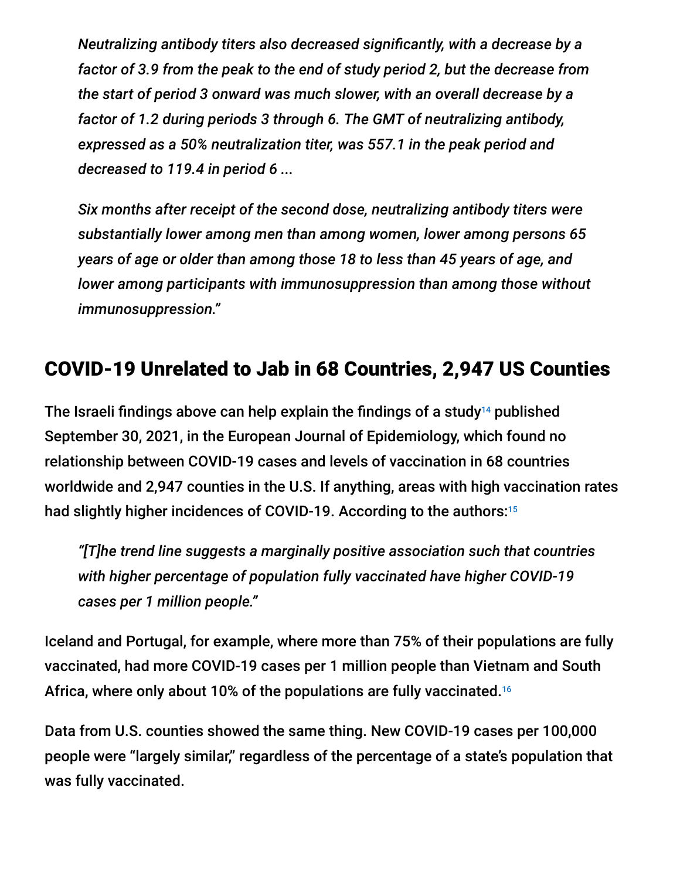*Neutralizing antibody titers also decreased significantly, with a decrease by a factor of 3.9 from the peak to the end of study period 2, but the decrease from the start of period 3 onward was much slower, with an overall decrease by a factor of 1.2 during periods 3 through 6. The GMT of neutralizing antibody, expressed as a 50% neutralization titer, was 557.1 in the peak period and decreased to 119.4 in period 6 ...*

*Six months after receipt of the second dose, neutralizing antibody titers were substantially lower among men than among women, lower among persons 65 years of age or older than among those 18 to less than 45 years of age, and lower among participants with immunosuppression than among those without immunosuppression."*

## COVID-19 Unrelated to Jab in 68 Countries, 2,947 US Counties

The Israeli findings above can help explain the findings of a study $14$  published September 30, 2021, in the European Journal of Epidemiology, which found no relationship between COVID-19 cases and levels of vaccination in 68 countries worldwide and 2,947 counties in the U.S. If anything, areas with high vaccination rates had slightly higher incidences of COVID-19. According to the authors: 15

*"[T]he trend line suggests a marginally positive association such that countries with higher percentage of population fully vaccinated have higher COVID-19 cases per 1 million people."*

Iceland and Portugal, for example, where more than 75% of their populations are fully vaccinated, had more COVID-19 cases per 1 million people than Vietnam and South Africa, where only about 10% of the populations are fully vaccinated. 16

Data from U.S. counties showed the same thing. New COVID-19 cases per 100,000 people were "largely similar," regardless of the percentage of a state's population that was fully vaccinated.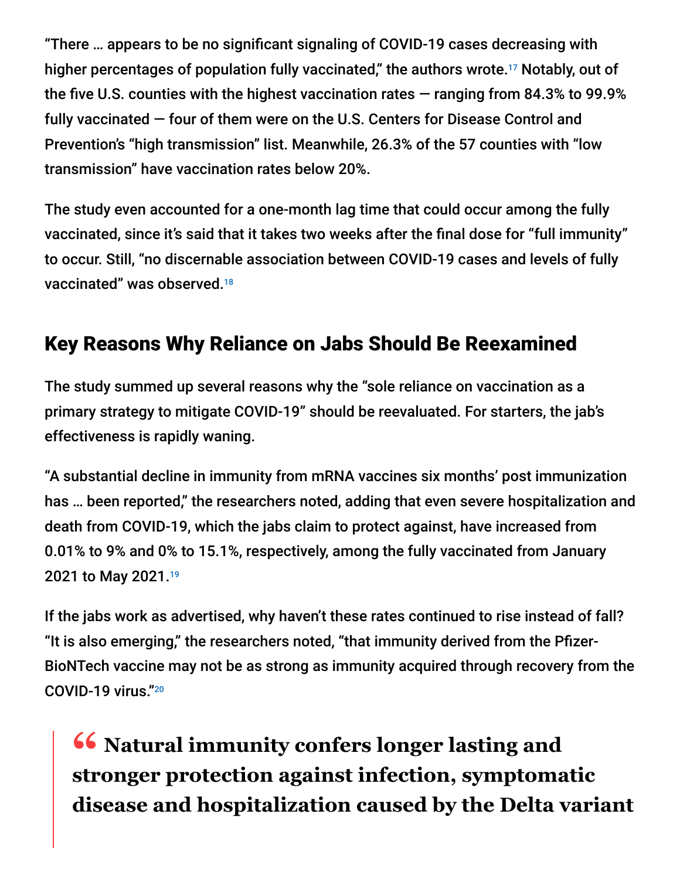"There … appears to be no significant signaling of COVID-19 cases decreasing with higher percentages of population fully vaccinated," the authors wrote. $^{17}$  Notably, out of the five U.S. counties with the highest vaccination rates — ranging from 84.3% to 99.9% fully vaccinated — four of them were on the U.S. Centers for Disease Control and Prevention's "high transmission" list. Meanwhile, 26.3% of the 57 counties with "low transmission" have vaccination rates below 20%.

The study even accounted for a one-month lag time that could occur among the fully vaccinated, since it's said that it takes two weeks after the final dose for "full immunity" to occur. Still, "no discernable association between COVID-19 cases and levels of fully vaccinated" was observed. 18

## Key Reasons Why Reliance on Jabs Should Be Reexamined

The study summed up several reasons why the "sole reliance on vaccination as a primary strategy to mitigate COVID-19" should be reevaluated. For starters, the jab's effectiveness is rapidly waning.

"A substantial decline in immunity from mRNA vaccines six months' post immunization has … been reported," the researchers noted, adding that even severe hospitalization and death from COVID-19, which the jabs claim to protect against, have increased from 0.01% to 9% and 0% to 15.1%, respectively, among the fully vaccinated from January 2021 to May 2021. 19

If the jabs work as advertised, why haven't these rates continued to rise instead of fall? "It is also emerging," the researchers noted, "that immunity derived from the Pfizer-BioNTech vaccine may not be as strong as immunity acquired through recovery from the COVID-19 virus." 20

**16 Natural immunity confers longer lasting and<br>
<b>SPR ATE:** The protection against infection symptoms **stronger protection against infection, symptomatic disease and hospitalization caused by the Delta variant**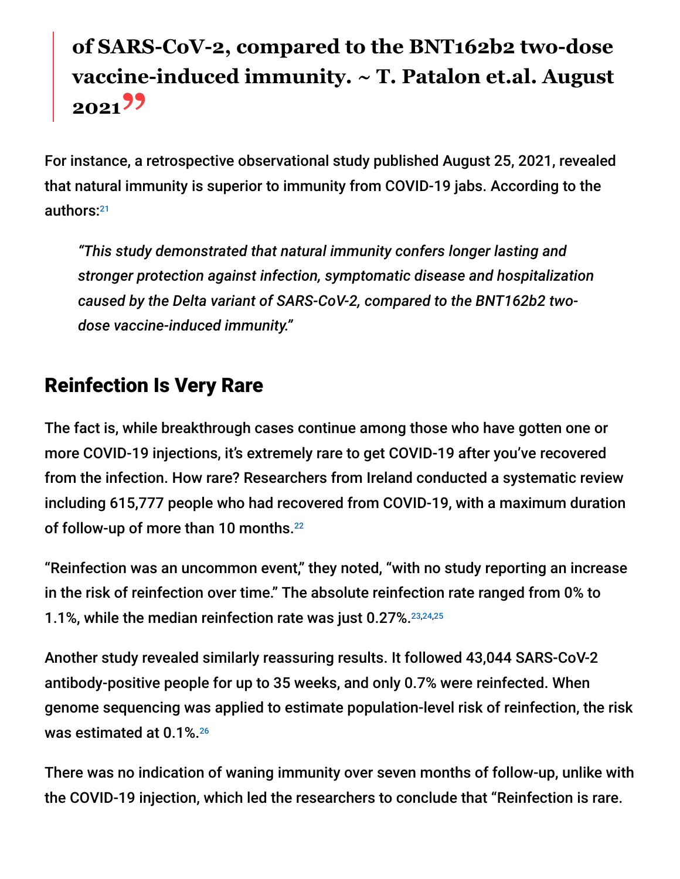# **of SARS-CoV-2, compared to the BNT162b2 two-dose vaccine-induced immunity. ~ T. Patalon et.al. August <sup>2021</sup>"**

For instance, a retrospective observational study published August 25, 2021, revealed that natural immunity is superior to immunity from COVID-19 jabs. According to the authors: 21

*"This study demonstrated that natural immunity confers longer lasting and stronger protection against infection, symptomatic disease and hospitalization caused by the Delta variant of SARS-CoV-2, compared to the BNT162b2 twodose vaccine-induced immunity."*

## Reinfection Is Very Rare

The fact is, while breakthrough cases continue among those who have gotten one or more COVID-19 injections, it's extremely rare to get COVID-19 after you've recovered from the infection. How rare? Researchers from Ireland conducted a systematic review including 615,777 people who had recovered from COVID-19, with a maximum duration of follow-up of more than 10 months. 22

"Reinfection was an uncommon event," they noted, "with no study reporting an increase in the risk of reinfection over time." The absolute reinfection rate ranged from 0% to 1.1%, while the median reinfection rate was just 0.27%. 23,24,25

Another study revealed similarly reassuring results. It followed 43,044 SARS-CoV-2 antibody-positive people for up to 35 weeks, and only 0.7% were reinfected. When genome sequencing was applied to estimate population-level risk of reinfection, the risk was estimated at 0.1%. 26

There was no indication of waning immunity over seven months of follow-up, unlike with the COVID-19 injection, which led the researchers to conclude that "Reinfection is rare.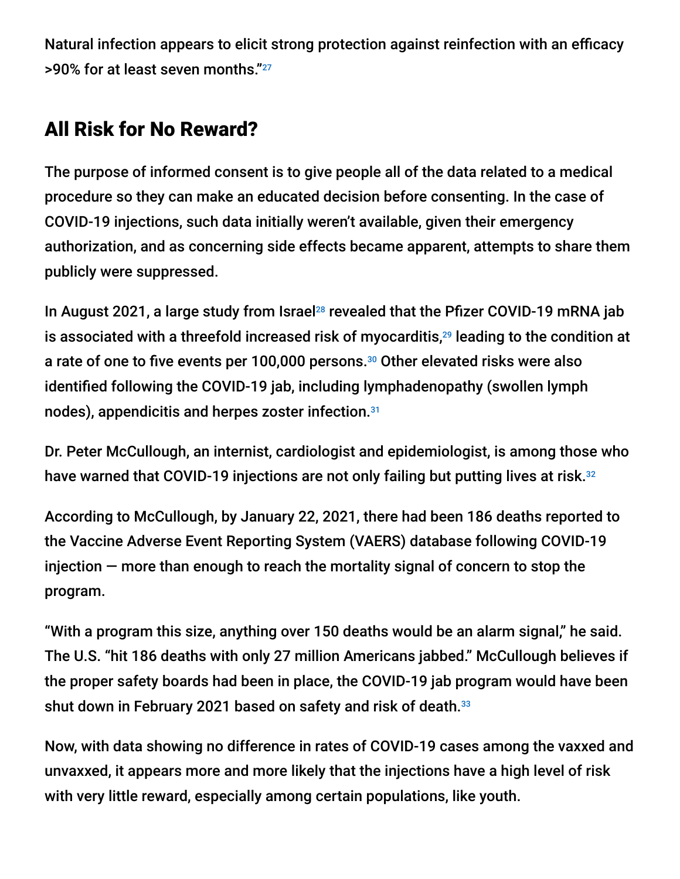Natural infection appears to elicit strong protection against reinfection with an efficacy >90% for at least seven months." 27

## All Risk for No Reward?

The purpose of informed consent is to give people all of the data related to a medical procedure so they can make an educated decision before consenting. In the case of COVID-19 injections, such data initially weren't available, given their emergency authorization, and as concerning side effects became apparent, attempts to share them publicly were suppressed.

In August 2021, a large study from Israel<sup>28</sup> revealed that the Pfizer COVID-19 mRNA jab is associated with a threefold increased risk of myocarditis, $^{29}$  leading to the condition at a rate of one to five events per 100,000 persons.<sup>30</sup> Other elevated risks were also identified following the COVID-19 jab, including lymphadenopathy (swollen lymph nodes), appendicitis and herpes zoster infection. 31

Dr. Peter McCullough, an internist, cardiologist and epidemiologist, is among those who have warned that COVID-19 injections are not only failing but putting lives at risk.<sup>32</sup>

According to McCullough, by January 22, 2021, there had been 186 deaths reported to the Vaccine Adverse Event Reporting System (VAERS) database following COVID-19 injection — more than enough to reach the mortality signal of concern to stop the program.

"With a program this size, anything over 150 deaths would be an alarm signal," he said. The U.S. "hit 186 deaths with only 27 million Americans jabbed." McCullough believes if the proper safety boards had been in place, the COVID-19 jab program would have been shut down in February 2021 based on safety and risk of death. $^{\rm 33}$ 

Now, with data showing no difference in rates of COVID-19 cases among the vaxxed and unvaxxed, it appears more and more likely that the injections have a high level of risk with very little reward, especially among certain populations, like youth.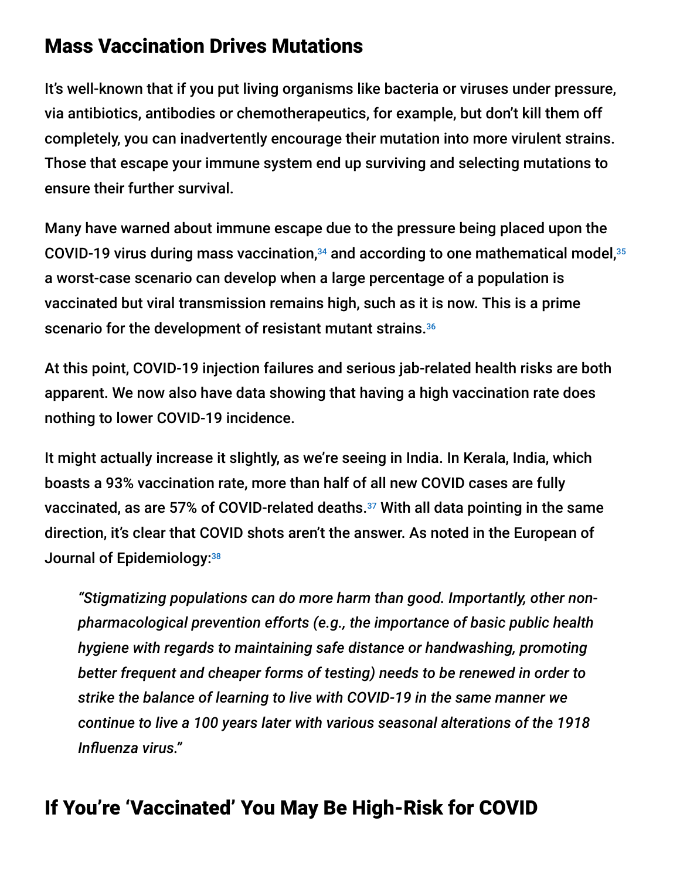### Mass Vaccination Drives Mutations

It's well-known that if you put living organisms like bacteria or viruses under pressure, via antibiotics, antibodies or chemotherapeutics, for example, but don't kill them off completely, you can inadvertently encourage their mutation into more virulent strains. Those that escape your immune system end up surviving and selecting mutations to ensure their further survival.

Many have warned about immune escape due to the pressure being placed upon the COVID-19 virus during mass vaccination, $34$  and according to one mathematical model, $35$ a worst-case scenario can develop when a large percentage of a population is vaccinated but viral transmission remains high, such as it is now. This is a prime scenario for the development of resistant mutant strains.<sup>36</sup>

At this point, COVID-19 injection failures and serious jab-related health risks are both apparent. We now also have data showing that having a high vaccination rate does nothing to lower COVID-19 incidence.

It might actually increase it slightly, as we're seeing in India. In Kerala, India, which boasts a 93% vaccination rate, more than half of all new COVID cases are fully vaccinated, as are 57% of COVID-related deaths. $37$  With all data pointing in the same direction, it's clear that COVID shots aren't the answer. As noted in the European of Journal of Epidemiology: 38

*"Stigmatizing populations can do more harm than good. Importantly, other nonpharmacological prevention efforts (e.g., the importance of basic public health hygiene with regards to maintaining safe distance or handwashing, promoting better frequent and cheaper forms of testing) needs to be renewed in order to strike the balance of learning to live with COVID-19 in the same manner we continue to live a 100 years later with various seasonal alterations of the 1918 Influenza virus."*

## If You're 'Vaccinated' You May Be High-Risk for COVID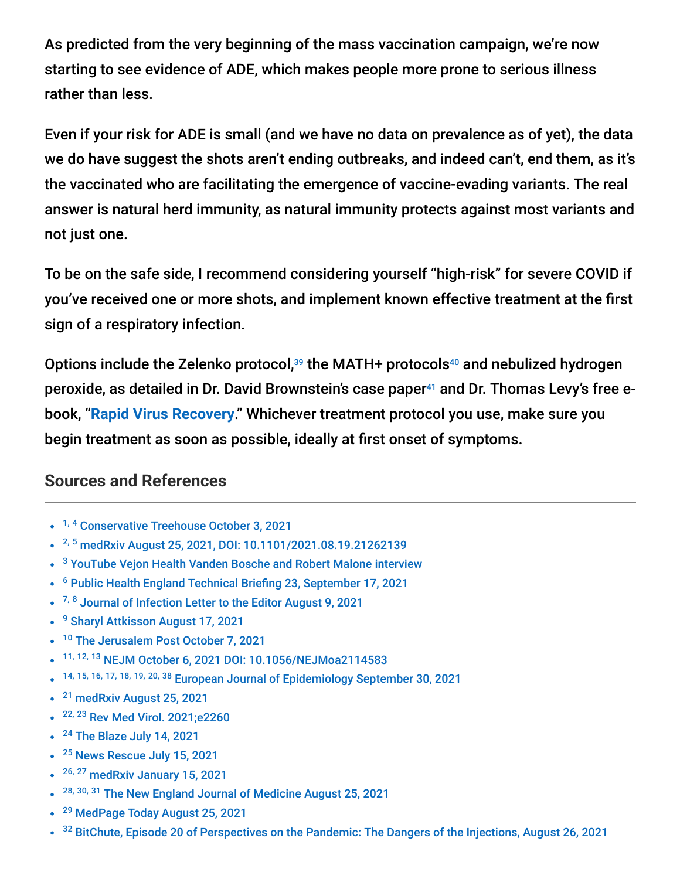As predicted from the very beginning of the mass vaccination campaign, we're now starting to see evidence of ADE, which makes people more prone to serious illness rather than less.

Even if your risk for ADE is small (and we have no data on prevalence as of yet), the data we do have suggest the shots aren't ending outbreaks, and indeed can't, end them, as it's the vaccinated who are facilitating the emergence of vaccine-evading variants. The real answer is natural herd immunity, as natural immunity protects against most variants and not just one.

To be on the safe side, I recommend considering yourself "high-risk" for severe COVID if you've received one or more shots, and implement known effective treatment at the first sign of a respiratory infection.

Options include the Zelenko protocol,<sup>39</sup> the MATH+ protocols<sup>40</sup> and nebulized hydrogen peroxide, as detailed in Dr. David Brownstein's case paper<sup>41</sup> and Dr. Thomas Levy's free ebook, "**[Rapid Virus Recovery](https://rvr.medfoxpub.com/)**." Whichever treatment protocol you use, make sure you begin treatment as soon as possible, ideally at first onset of symptoms.

#### **Sources and References**

- <sup>1, 4</sup> [Conservative Treehouse October 3, 2021](https://theconservativetreehouse.com/blog/2021/10/03/there-it-is-study-finds-predominance-of-antibody-resistant-sars-cov-2-variants-in-vaccine-breakthrough-cases-in-san-francisco-bay-area/)
- <sup>2, 5</sup> [medRxiv August 25, 2021, DOI: 10.1101/2021.08.19.21262139](https://www.medrxiv.org/content/10.1101/2021.08.19.21262139v1)
- <sup>3</sup> [YouTube Vejon Health Vanden Bosche and Robert Malone interview](https://www.youtube.com/watch?v=qP31cfD3YOY)
- <sup>6</sup> [Public Health England Technical Briefing 23, September 17, 2021](https://assets.publishing.service.gov.uk/government/uploads/system/uploads/attachment_data/file/1018547/Technical_Briefing_23_21_09_16.pdf)
- <sup>7, 8</sup> [Journal of Infection Letter to the Editor August 9, 2021](https://www.journalofinfection.com/article/S0163-4453(21)00392-3/fulltext)
- <sup>9</sup> [Sharyl Attkisson August 17, 2021](https://sharylattkisson.com/2021/08/study-why-so-many-vaccinated-people-are-getting-sick/)
- <sup>10</sup> [The Jerusalem Post October 7, 2021](https://m.jpost.com/health-and-wellness/coronavirus/antibody-levels-decrease-after-two-doses-of-pfizer-vaccine-study-681260/amp?__twitter_impression=true)
- 11, 12, 13 [NEJM October 6, 2021 DOI: 10.1056/NEJMoa2114583](https://www.nejm.org/doi/full/10.1056/NEJMoa2114583)
- $\bullet$ 14, 15, 16, 17, 18, 19, 20, 38 [European Journal of Epidemiology September 30, 2021](https://link.springer.com/article/10.1007/s10654-021-00808-7#Sec4)
- <sup>21</sup> [medRxiv August 25, 2021](https://www.medrxiv.org/content/10.1101/2021.08.24.21262415v1)
- <sup>22, 23</sup> [Rev Med Virol. 2021;e2260](https://www.ncbi.nlm.nih.gov/pmc/articles/PMC8209951/pdf/RMV-9999-e2260.pdf)
- <sup>24</sup> [The Blaze July 14, 2021](https://www.theblaze.com/op-ed/horowitz-israeli-government-data-shows-natural-immunity-from-infection-much-stronger-than-vaccine-induced-immunity#toggle-gdpr)
- <sup>25</sup> [News Rescue July 15, 2021](https://newsrescue.com/delta-variant-natural-immunity-700-greater-protection-than-shot-data-from-israeli-govt-shows/)
- <sup>26, 27</sup> [medRxiv January 15, 2021](https://www.medrxiv.org/content/10.1101/2021.01.15.21249731v1)
- <sup>28, 30, 31</sup> [The New England Journal of Medicine August 25, 2021](https://www.nejm.org/doi/full/10.1056/NEJMoa2110475?query=featured_home)
- <sup>29</sup> [MedPage Today August 25, 2021](https://www.medpagetoday.com/infectiousdisease/covid19vaccine/94213)  $\bullet$
- $32$  [BitChute, Episode 20 of Perspectives on the Pandemic: The Dangers of the Injections, August 26, 2021](https://www.bitchute.com/video/BxME0RDJ61S9/)